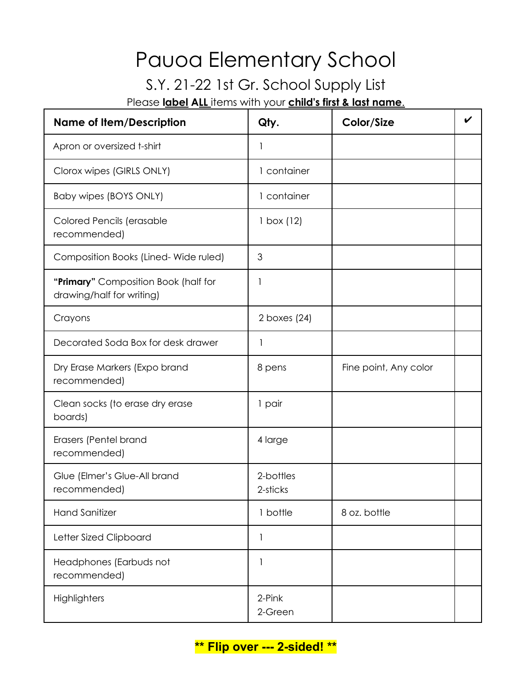## Pauoa Elementary School

## S.Y. 21-22 1st Gr. School Supply List

Please **label ALL** items with your **child's first & last name**.

| <b>Name of Item/Description</b>                                   | Qty.                  | Color/Size            |  |
|-------------------------------------------------------------------|-----------------------|-----------------------|--|
| Apron or oversized t-shirt                                        | 1                     |                       |  |
| Clorox wipes (GIRLS ONLY)                                         | 1 container           |                       |  |
| Baby wipes (BOYS ONLY)                                            | 1 container           |                       |  |
| Colored Pencils (erasable<br>recommended)                         | $1$ box $(12)$        |                       |  |
| Composition Books (Lined-Wide ruled)                              | 3                     |                       |  |
| "Primary" Composition Book (half for<br>drawing/half for writing) | 1                     |                       |  |
| Crayons                                                           | 2 boxes (24)          |                       |  |
| Decorated Soda Box for desk drawer                                | 1                     |                       |  |
| Dry Erase Markers (Expo brand<br>recommended)                     | 8 pens                | Fine point, Any color |  |
| Clean socks (to erase dry erase<br>boards)                        | 1 pair                |                       |  |
| Erasers (Pentel brand<br>recommended)                             | 4 large               |                       |  |
| Glue (Elmer's Glue-All brand<br>recommended)                      | 2-bottles<br>2-sticks |                       |  |
| <b>Hand Sanitizer</b>                                             | 1 bottle              | 8 oz. bottle          |  |
| Letter Sized Clipboard                                            | 1                     |                       |  |
| Headphones (Earbuds not<br>recommended)                           | 1                     |                       |  |
| Highlighters                                                      | 2-Pink<br>2-Green     |                       |  |

**\*\* Flip over --- 2-sided! \*\***